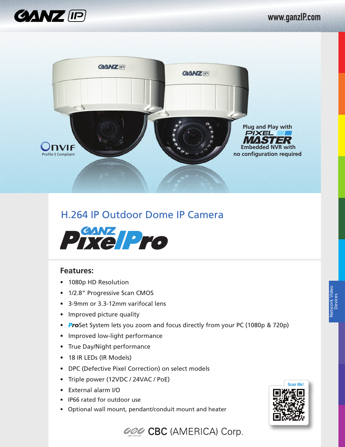



## H.264 IP Outdoor Dome IP Camera



## **Features:**

- 1080p HD Resolution
- 1/2.8" Progressive Scan CMOS
- 3-9mm or 3.3-12mm varifocal lens
- Improved picture quality
- *Pro*Set System lets you zoom and focus directly from your PC (1080p & 720p)
- Improved low-light performance
- True Day/Night performance
- 18 IR LEDs (IR Models)
- DPC (Defective Pixel Correction) on select models
- Triple power (12VDC / 24VAC / PoE)
- External alarm I/O
- IP66 rated for outdoor use
- Optional wall mount, pendant/conduit mount and heater